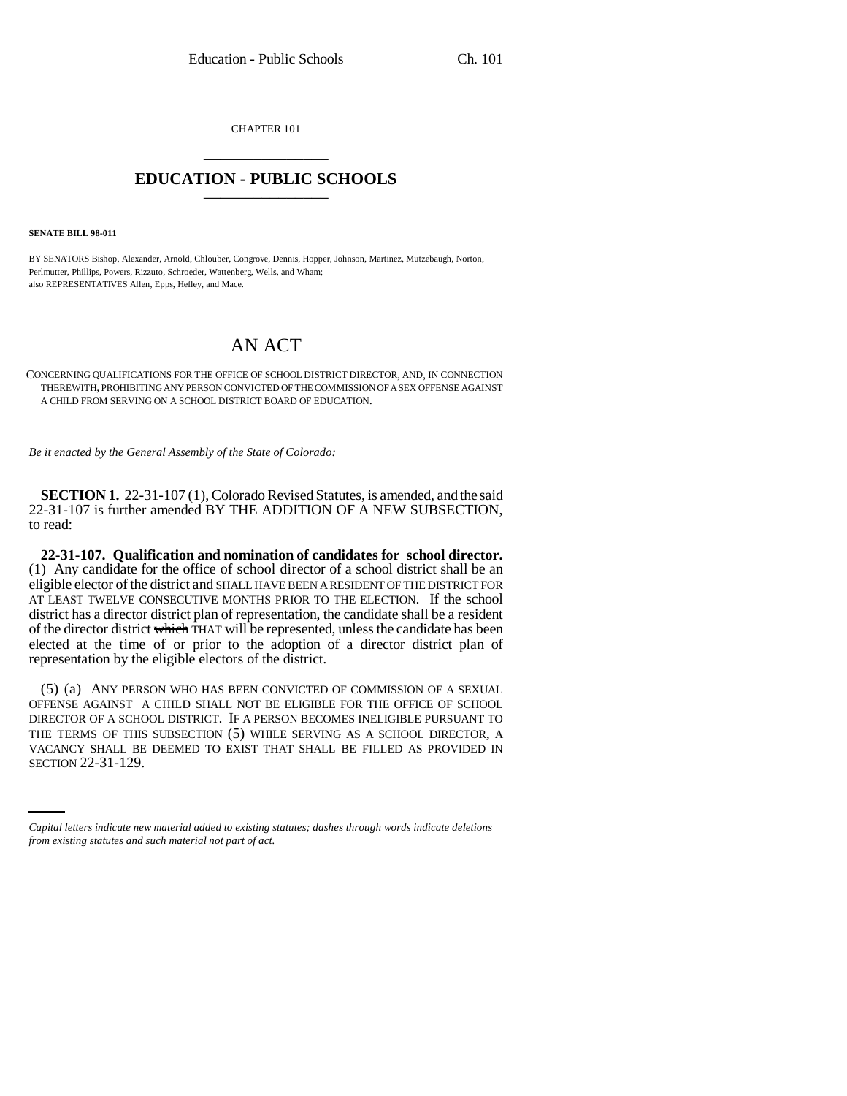CHAPTER 101 \_\_\_\_\_\_\_\_\_\_\_\_\_\_\_

## **EDUCATION - PUBLIC SCHOOLS** \_\_\_\_\_\_\_\_\_\_\_\_\_\_\_

**SENATE BILL 98-011**

BY SENATORS Bishop, Alexander, Arnold, Chlouber, Congrove, Dennis, Hopper, Johnson, Martinez, Mutzebaugh, Norton, Perlmutter, Phillips, Powers, Rizzuto, Schroeder, Wattenberg, Wells, and Wham; also REPRESENTATIVES Allen, Epps, Hefley, and Mace.

## AN ACT

## CONCERNING QUALIFICATIONS FOR THE OFFICE OF SCHOOL DISTRICT DIRECTOR, AND, IN CONNECTION THEREWITH, PROHIBITING ANY PERSON CONVICTED OF THE COMMISSION OF A SEX OFFENSE AGAINST A CHILD FROM SERVING ON A SCHOOL DISTRICT BOARD OF EDUCATION.

*Be it enacted by the General Assembly of the State of Colorado:*

**SECTION 1.** 22-31-107 (1), Colorado Revised Statutes, is amended, and the said 22-31-107 is further amended BY THE ADDITION OF A NEW SUBSECTION, to read:

**22-31-107. Qualification and nomination of candidates for school director.** (1) Any candidate for the office of school director of a school district shall be an eligible elector of the district and SHALL HAVE BEEN A RESIDENT OF THE DISTRICT FOR AT LEAST TWELVE CONSECUTIVE MONTHS PRIOR TO THE ELECTION. If the school district has a director district plan of representation, the candidate shall be a resident of the director district which THAT will be represented, unless the candidate has been elected at the time of or prior to the adoption of a director district plan of representation by the eligible electors of the district.

THE TERMS OF THIS SUBSECTION (3) WHILE SERVING AS A SCHOOL DIRECTOR, A<br>VACANCY SHALL BE DEEMED TO EXIST THAT SHALL BE FILLED AS PROVIDED IN (5) (a) ANY PERSON WHO HAS BEEN CONVICTED OF COMMISSION OF A SEXUAL OFFENSE AGAINST A CHILD SHALL NOT BE ELIGIBLE FOR THE OFFICE OF SCHOOL DIRECTOR OF A SCHOOL DISTRICT. IF A PERSON BECOMES INELIGIBLE PURSUANT TO THE TERMS OF THIS SUBSECTION (5) WHILE SERVING AS A SCHOOL DIRECTOR, A SECTION 22-31-129.

*Capital letters indicate new material added to existing statutes; dashes through words indicate deletions from existing statutes and such material not part of act.*